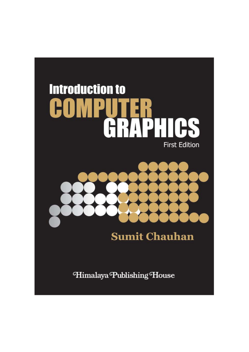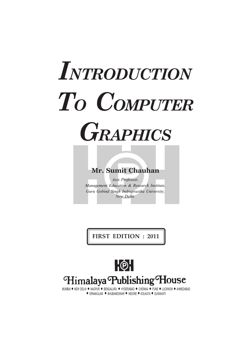# *INTRODUCTION TO COMPUTER GRAPHICS*

## **Mr. Sumit Chauhan**

*Asst. Professor, Management Education & Research Institute, Guru Gobind Singh Indraprastha University, New Delhi.*

**FIRST EDITION : 2011**



MUMBAI · NEW DELHI · NAGPUR · BENGALURU · HYDERABAD · CHENNAI · PUNE · LUCKNOW · AHMEDABAD  $\bullet$  ERNAKULAM  $\bullet$  BHUBANESWAR  $\bullet$  INDORE  $\bullet$  KOLKATA  $\bullet$  GUWAHATI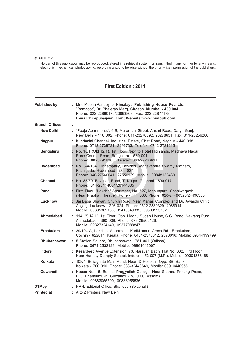#### **© AUTHOR**

No part of this publication may be reproduced, stored in a retrieval system, or transmitted in any form or by any means, electronic, mechanical, photocopying, recording and/or otherwise without the prior written permission of the publishers.

#### **First Edition : 2011**

| <b>Published by</b>                                |  | : Mrs. Meena Pandey for Himalaya Publishing House Pvt. Ltd.,<br>"Ramdoot", Dr. Bhalerao Marg, Girgaon, Mumbai - 400 004.<br>Phone: 022-23860170/23863863, Fax: 022-23877178<br>E-mail: himpub@vsnl.com; Website: www.himpub.com |
|----------------------------------------------------|--|---------------------------------------------------------------------------------------------------------------------------------------------------------------------------------------------------------------------------------|
| <b>Branch Offices</b>                              |  |                                                                                                                                                                                                                                 |
| <b>New Delhi</b>                                   |  | : "Pooja Apartments", 4-B, Murari Lal Street, Ansari Road, Darya Ganj,<br>New Delhi - 110 002. Phone: 011-23270392, 23278631; Fax: 011-23256286                                                                                 |
| <b>Nagpur</b>                                      |  | : Kundanlal Chandak Industrial Estate, Ghat Road, Nagpur - 440 018.<br>Phone: 0712-2738731, 3296733; Telefax: 0712-2721215                                                                                                      |
| <b>Bengaluru</b>                                   |  | No. 16/1 (Old 12/1), 1st Floor, Next to Hotel Highlands, Madhava Nagar,<br>Race Course Road, Bengaluru - 560 001.<br>Phone: 080-32919385; Telefax: 080-22286611                                                                 |
| Hyderabad                                          |  | No. 3-4-184, Lingampally, Besides Raghavendra Swamy Matham,<br>Kachiguda, Hyderabad - 500 027.<br>Phone: 040-27560041, 27550139; Mobile: 09848130433                                                                            |
| <b>Chennai</b>                                     |  | : No. 85/50, Bazullah Road, T. Nagar, Chennai - 600 017.<br>Phone: 044-28144004/28144005                                                                                                                                        |
| <b>Pune</b>                                        |  | First Floor, "Laksha" Apartment, No. 527, Mehunpura, Shaniwarpeth<br>(Near Prabhat Theatre), Pune - 411 030. Phone: 020-24496323/24496333                                                                                       |
| Lucknow                                            |  | Jai Baba Bhavan, Church Road, Near Manas Complex and Dr. Awasthi Clinic,<br>Aliganj, Lucknow - 226 024. Phone: 0522-2339329, 4068914;<br>Mobile: 09305302158, 09415349385, 09389593752                                          |
| Ahmedabad                                          |  | : 114, "SHAIL", 1st Floor, Opp. Madhu Sudan House, C.G. Road, Navrang Pura,<br>Ahmedabad - 380 009. Phone: 079-26560126;<br>Mobile: 09327324149, 09377088847                                                                    |
| Ernakulam                                          |  | : 39/104 A, Lakshmi Apartment, Karikkamuri Cross Rd., Ernakulam,<br>Cochin - 622011, Kerala. Phone: 0484-2378012, 2378016; Mobile: 09344199799                                                                                  |
| <b>Bhubaneswar</b>                                 |  | : 5 Station Square, Bhubaneswar - 751 001 (Odisha).<br>Phone: 0674-2532129, Mobile: 09861046007                                                                                                                                 |
| Indore                                             |  | : Kesardeep Avenue Extension, 73, Narayan Bagh, Flat No. 302, Illrd Floor,<br>Near Humpty Dumpty School, Indore - 452 007 (M.P.). Mobile: 09301386468                                                                           |
| Kolkata                                            |  | : 108/4, Beliaghata Main Road, Near ID Hospital, Opp. SBI Bank,<br>Kolkata - 700 010, Phone: 033-32449649, Mobile: 09910440956                                                                                                  |
| Guwahati                                           |  | : House No. 15, Behind Pragjyotish College, Near Sharma Printing Press,<br>P.O. Bharalumukh, Guwahati - 781009, (Assam).<br>Mobile: 09883055590, 09883055536                                                                    |
| DTP by                                             |  | : HPH, Editorial Office, Bhandup (Swapnali)                                                                                                                                                                                     |
| : A to Z Printers, New Delhi.<br><b>Printed at</b> |  |                                                                                                                                                                                                                                 |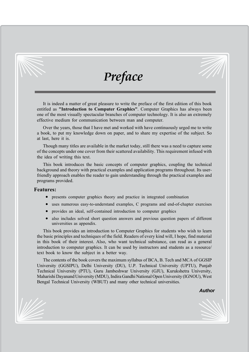

# *Preface*

It is indeed a matter of great pleasure to write the preface of the first edition of this book entitled as **"Introduction to Computer Graphics"**. Computer Graphics has always been one of the most visually spectacular branches of computer technology. It is also an extremely effective medium for communication between man and computer.

Over the years, those that I have met and worked with have continuously urged me to write a book, to put my knowledge down on paper, and to share my expertise of the subject. So at last, here it is.

Though many titles are available in the market today, still there was a need to capture some of the concepts under one cover from their scattered availability. This requirement infused with the idea of writing this text.

This book introduces the basic concepts of computer graphics, coupling the technical background and theory with practical examples and application programs throughout. Its userfriendly approach enables the reader to gain understanding through the practical examples and programs provided.

#### **Features:**

- presents computer graphics theory and practice in integrated combination
- uses numerous easy-to-understand examples, C programs and end-of-chapter exercises
- provides an ideal, self-contained introduction to computer graphics
- also includes solved short question answers and previous question papers of different universities as appendix.

This book provides an introduction to Computer Graphics for students who wish to learn the basic principles and techniques of the field. Readers of every kind will, I hope, find material in this book of their interest. Also, who want technical substance, can read as a general introduction to computer graphics. It can be used by instructors and students as a resource/ text book to know the subject in a better way.

The contents of the book covers the maximum syllabus of BCA, B. Tech and MCA of GGSIP University (GGSIPU), Delhi University (DU), U.P. Technical University (UPTU), Punjab Technical University (PTU), Guru Jambeshwar University (GJU), Kurukshetra University, Maharishi Dayanand University (MDU), Indira Gandhi National Open University (IGNOU), West Bengal Technical University (WBUT) and many other technical universities.

#### *Author*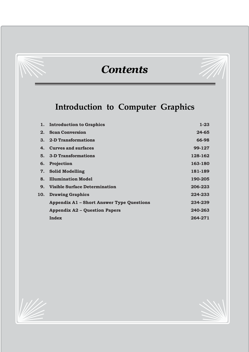# *Contents*

## **Introduction to Computer Graphics**

|     | 1. Introduction to Graphics                      | $1 - 23$  |
|-----|--------------------------------------------------|-----------|
|     | 2. Scan Conversion                               | $24 - 65$ |
|     | 3. 2-D Transformations                           | 66-98     |
| 4.  | <b>Curves and surfaces</b>                       | 99-127    |
|     | 5. 3-D Transformations                           | 128-162   |
|     | 6. Projection                                    | 163-180   |
| 7.  | <b>Solid Modelling</b>                           | 181-189   |
| 8.  | <b>Illumination Model</b>                        | 190-205   |
| 9.  | Visible Surface Determination                    | 206-223   |
| 10. | <b>Drawing Graphics</b>                          | 224-233   |
|     | <b>Appendix A1 - Short Answer Type Questions</b> | 234-239   |
|     | <b>Appendix A2 - Question Papers</b>             | 240-263   |
|     | Index                                            | 264-271   |

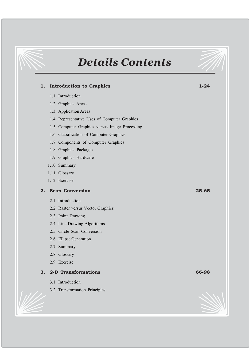# *Details Contents*

*6 Introduction to Computer Graphics*

## **1. Introduction to Graphics 1-24** 1.1 Introduction 1.2 Graphics Areas 1.3 Application Areas 1.4 Representative Uses of Computer Graphics 1.5 Computer Graphics versus Image Processing 1.6 Classification of Computer Graphics 1.7 Components of Computer Graphics 1.8 Graphics Packages 1.9 Graphics Hardware 1.10 Summary 1.11 Glossary 1.12 Exercise **2. Scan Conversion 25-65** 2.1 Introduction 2.2 Raster versus Vector Graphics 2.3 Point Drawing 2.4 Line Drawing Algorithms 2.5 Circle Scan Conversion 2.6 Ellipse Generation 2.7 Summary 2.8 Glossary 2.9 Exercise **3. 2-D Transformations 66-98** 3.1 Introduction 3.2 Transformation Principles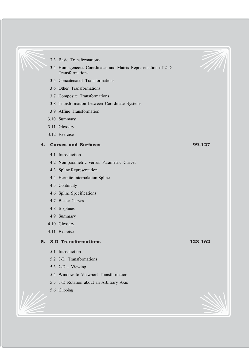- 3.3 Basic Transformations
- 3.4 Homogeneous Coordinates and Matrix Representation of 2-D Transformations

- 3.5 Concatenated Transformations
- 3.6 Other Transformations
- 3.7 Composite Transformations
- 3.8 Transformation between Coordinate Systems
- 3.9 Affine Transformation
- 3.10 Summary
- 3.11 Glossary
- 3.12 Exercise

#### **4. Curves and Surfaces 99-127**

- 4.1 Introduction
- 4.2 Non-parametric versus Parametric Curves
- 4.3 Spline Representation
- 4.4 Hermite Interpolation Spline
- 4.5 Continuity
- 4.6 Spline Specifications
- 4.7 Bezier Curves
- 4.8 B-splines
- 4.9 Summary
- 4.10 Glossary
- 4.11 Exercise

#### **5. 3-D Transformations 128-162**

- 5.1 Introduction
- 5.2 3-D Transformations
- 5.3  $2-D V$ iewing
- 5.4 Window to Viewport Transformation
- 5.5 3-D Rotation about an Arbitrary Axis
- 5.6 Clipping

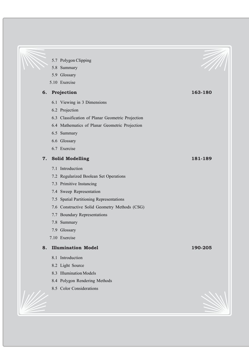#### 5.7 Polygon Clipping

- 5.8 Summary
- 5.9 Glossary
- 5.10 Exercise

#### **6. Projection 163-180**

- 6.1 Viewing in 3 Dimensions
- 6.2 Projection
- 6.3 Classification of Planar Geometric Projection

*8 Introduction to Computer Graphics*

- 6.4 Mathematics of Planar Geometric Projection
- 6.5 Summary
- 6.6 Glossary
- 6.7 Exercise

#### **7. Solid Modelling 181-189**

- 7.1 Introduction
- 7.2 Regularized Boolean Set Operations
- 7.3 Primitive Instancing
- 7.4 Sweep Representation
- 7.5 Spatial Partitioning Representations
- 7.6 Constructive Solid Geometry Methods (CSG)
- 7.7 Boundary Representations
- 7.8 Summary
- 7.9 Glossary
- 7.10 Exercise

#### **8. Illumination Model 190-205**

- 8.1 Introduction
- 8.2 Light Source
- 8.3 Illumination Models
- 8.4 Polygon Rendering Methods
- 8.5 Color Considerations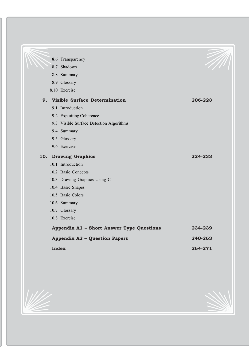|                                      | 8.6 Transparency                          |         |
|--------------------------------------|-------------------------------------------|---------|
|                                      | 8.7 Shadows                               |         |
|                                      | 8.8 Summary                               |         |
|                                      | 8.9 Glossary                              |         |
|                                      | 8.10 Exercise                             |         |
|                                      | 9. Visible Surface Determination          | 206-223 |
|                                      | 9.1 Introduction                          |         |
|                                      | 9.2 Exploiting Coherence                  |         |
|                                      | 9.3 Visible Surface Detection Algorithms  |         |
|                                      | 9.4 Summary                               |         |
|                                      | 9.5 Glossary                              |         |
|                                      | 9.6 Exercise                              |         |
|                                      | 10. Drawing Graphics                      | 224-233 |
|                                      | 10.1 Introduction                         |         |
|                                      | 10.2 Basic Concepts                       |         |
|                                      | 10.3 Drawing Graphics Using C             |         |
|                                      | 10.4 Basic Shapes                         |         |
|                                      | 10.5 Basic Colors                         |         |
|                                      | 10.6 Summary                              |         |
|                                      | 10.7 Glossary                             |         |
|                                      | 10.8 Exercise                             |         |
|                                      | Appendix A1 - Short Answer Type Questions | 234-239 |
| <b>Appendix A2 - Question Papers</b> |                                           | 240-263 |
|                                      | Index                                     | 264-271 |
|                                      |                                           |         |

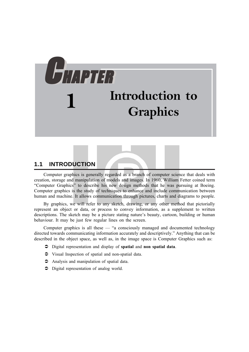# CCHAPTER HAPTER HAPTER HAPTER **1 Introduction to Graphics**

### **1.1 INTRODUCTION**

Computer graphics is generally regarded as a branch of computer science that deals with creation, storage and manipulation of models and images. In 1960, William Fetter coined term "Computer Graphics" to describe his new design methods that he was pursuing at Boeing. Computer graphics is the study of techniques to enhance and include communication between human and machine. It allows communication through pictures, charts and diagrams to people.

By graphics, we will refer to any sketch, drawing, or any other method that pictorially represent an object or data, or process to convey information, as a supplement to written descriptions. The sketch may be a picture stating nature's beauty, cartoon, building or human behaviour. It may be just few regular lines on the screen.

Computer graphics is all these — "a consciously managed and documented technology directed towards communicating information accurately and descriptively." Anything that can be described in the object space, as well as, in the image space is Computer Graphics such as:

- Â Digital representation and display of **spatial** and **non spatial data**.
- $\bullet$  Visual Inspection of spatial and non-spatial data.
- $\supset$  Analysis and manipulation of spatial data.
- $\supset$  Digital representation of analog world.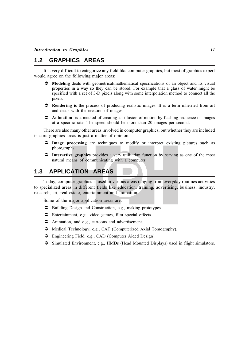#### **1.2 GRAPHICS AREAS**

It is very difficult to categorize any field like computer graphics, but most of graphics expert would agree on the following major areas:

- Â **Modeling** deals with geometrical/mathematical specifications of an object and its visual properties in a way so they can be stored. For example that a glass of water might be specified with a set of 3-D pixels along with some interpolation method to connect all the pixels.
- Â **Rendering is** the process of producing realistic images. It is a term inherited from art and deals with the creation of images.
- $\bullet$  **Animation** is a method of creating an illusion of motion by flashing sequence of images at a specific rate. The speed should be more than 20 images per second.

There are also many other areas involved in computer graphics, but whether they are included in core graphics areas is just a matter of opinion.

- Â **Image processing** are techniques to modify or interpret existing pictures such as photographs.
- Â **Interactive graphics** provides a very utilitarian function by serving as one of the most natural means of communicating with a computer.

#### **1.3 APPLICATION AREAS**

Today, computer graphics is used in various areas ranging from everyday routines activities to specialized areas in different fields like education, training, advertising, business, industry, research, art, real estate, entertainment and animation.

Some of the major application areas are:

- $\supset$  Building Design and Construction, e.g., making prototypes.
- $\supset$  Entertainment, e.g., video games, film special effects.
- $\supset$  Animation, and e.g., cartoons and advertisement.
- $\triangle$  Medical Technology, e.g., CAT (Computerized Axial Tomography).
- $\supset$  Engineering Field, e.g., CAD (Computer Aided Design).
- $\supset$  Simulated Environment, e.g., HMDs (Head Mounted Displays) used in flight simulators.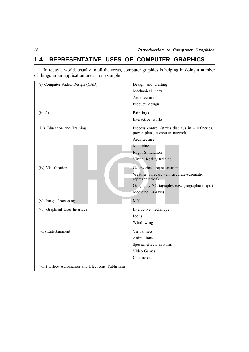## **1.4 REPRESENTATIVE USES OF COMPUTER GRAPHICS**

In today's world, usually in all the areas, computer graphics is helping in doing a number of things in an application area. For example:

| (i) Computer Aided Design (CAD)                    | Design and drafting                                                                   |
|----------------------------------------------------|---------------------------------------------------------------------------------------|
|                                                    | Mechanical parts                                                                      |
|                                                    | Architecture                                                                          |
|                                                    | Product design                                                                        |
| $(ii)$ Art                                         | Paintings                                                                             |
|                                                    | Interactive works                                                                     |
| (iii) Education and Training                       | Process control (status displays in $-$ refineries,<br>power plant, computer network) |
|                                                    | Architecture                                                                          |
|                                                    | Medicine                                                                              |
|                                                    | <b>Flight Simulation</b>                                                              |
|                                                    | Virtual Reality training                                                              |
| (iv) Visualization                                 | Geometrical representation                                                            |
|                                                    | Weather forecast (an accurate-schematic                                               |
|                                                    | representation)                                                                       |
|                                                    | Geography (Cartography, e.g., geographic maps.)                                       |
|                                                    | Medicine (X-rays)                                                                     |
| (v) Image Processing                               | <b>MRI</b>                                                                            |
| (vi) Graphical User Interface                      | Interactive technique                                                                 |
|                                                    | Icons                                                                                 |
|                                                    | Windowing                                                                             |
| (vii) Entertainment                                | Virtual sets                                                                          |
|                                                    | Animations                                                                            |
|                                                    | Special effects in Films                                                              |
|                                                    | Video Games                                                                           |
|                                                    | Commercials                                                                           |
| (viii) Office Automation and Electronic Publishing |                                                                                       |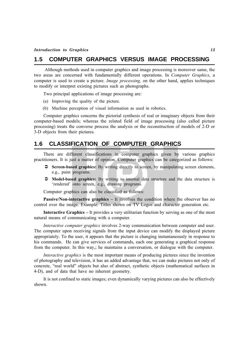#### **1.5 COMPUTER GRAPHICS VERSUS IMAGE PROCESSING**

 Although methods used in computer graphics and image processing is moreover same, the two areas are concerned with fundamentally different operations. In *Computer Graphics*, a computer is used to create a picture. *Image processing,* on the other hand, applies techniques to modify or interpret existing pictures such as photographs.

Two principal applications of image processing are:

- (a) Improving the quality of the picture.
- (b) Machine perception of visual information as used in robotics.

Computer graphics concerns the pictorial synthesis of real or imaginary objects from their computer-based models; whereas the related field of image processing (also called picture processing) treats the converse process the analysis or the reconstruction of models of 2-D or 3-D objects from their pictures.

#### **1.6 CLASSIFICATION OF COMPUTER GRAPHICS**

There are different classifications in computer graphics given by various graphics practitioners. It is just a matter of opinion. Computer graphics can be categorized as follows:

- Â **Screen-based graphics:** By writing directly to screen, by manipulating screen elements, e.g., paint programs.
- Â **Model-based graphics:** By writing to internal data structure and the data structure is 'rendered' onto screen, e.g., drawing programs.

Computer graphics can also be classified as follows:

**Passive/Non-interactive graphics –** It involves the condition where the observer has no control over the image. Example: Titles shown on TV Logos and character generation etc.

**Interactive Graphics –** It provides a very utilitarian function by serving as one of the most natural means of communicating with a computer.

*Interactive computer graphics* involves 2-way communication between computer and user. The computer upon receiving signals from the input device can modify the displayed picture appropriately. To the user, it appears that the picture is changing instantaneously in response to his commands. He can give services of commands, each one generating a graphical response from the computer. In this way,; he maintains a conversation, or dialogue with the computer.

*Interactive graphics* is the most important means of producing pictures since the invention of photography and television, it has an added advantage that, we can make pictures not only of concrete, "real world" objects but also of abstract, synthetic objects (mathematical surfaces in 4-D), and of data that have no inherent geometry.

It is not confined to static images; even dynamically varying pictures can also be effectively shown.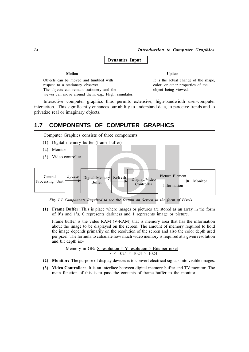

Interactive computer graphics thus permits extensive, high-bandwidth user-computer interaction. This significantly enhances our ability to understand data, to perceive trends and to privatize real or imaginary objects.

#### **1.7 COMPONENTS OF COMPUTER GRAPHICS**

Computer Graphics consists of three components:

- (1) Digital memory buffer (frame buffer)
- (2) Monitor
- (3) Video controller



*Fig. 1.1 Components Required to see the Output on Screen in the form of Pixels*

**(1) Frame Buffer:** This is place where images or pictures are stored as an array in the form of 0's and 1's, 0 represents darkness and 1 represents image or picture.

Frame buffer is the video RAM (V-RAM) that is memory area that has the information about the image to be displayed on the screen. The amount of memory required to hold the image depends primarily on the resolution of the screen and also the color depth used per pixel. The formula to calculate how much video memory is required at a given resolution and bit depth is:-

Memory in GB: X-resolution  $\times$  Y-resolution  $\times$  Bits per pixel  $8 \times 1024 \times 1024 \times 1024$ 

- **(2) Monitor:** The purpose of display devices is to convert electrical signals into visible images.
- **(3) Video Controller:** It is an interface between digital memory buffer and TV monitor. The main function of this is to pass the contents of frame buffer to the monitor.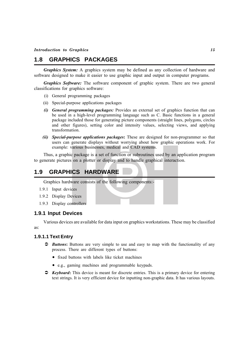### **1.8 GRAPHICS PACKAGES**

*Graphics System:* A graphics system may be defined as any collection of hardware and software designed to make it easier to use graphic input and output in computer programs.

*Graphics Software:* The software component of graphic system. There are two general classifications for graphics software:

- (i) General programming packages
- (ii) Special-purpose applications packages
- *(i) General programming packages:* Provides an external set of graphics function that can be used in a high-level programming language such as C. Basic functions in a general package included those for generating picture components (straight lines, polygons, circles and other figures), setting color and intensity values, selecting views, and applying transformation.
- *(ii) Special-purpose applications packages***:** These are designed for non-programmer so that users can generate displays without worrying about how graphic operations work. For example: various businesses, medical and CAD systems.

Thus, a graphic package is a set of function or subroutines used by an application program to generate pictures on a plotter or display and to handle graphical interaction.

#### **1.9 GRAPHICS HARDWARE**

Graphics hardware consists of the following components:-

- 1.9.1 Input devices
- 1.9.2 Display Devices
- 1.9.3 Display controllers

#### **1.9.1 Input Devices**

Various devices are available for data input on graphics workstations. These may be classified as:

#### **1.9.1.1 Text Entry**

- $\supset$ *Buttons*: Buttons are very simple to use and easy to map with the functionality of any process. There are different types of buttons:
	- fixed buttons with labels like ticket machines
	- e.g., gaming machines and programmable keypads.
- $\bullet$  *Keyboard*: This device is meant for discrete entries. This is a primary device for entering text strings. It is very efficient device for inputting non-graphic data. It has various layouts.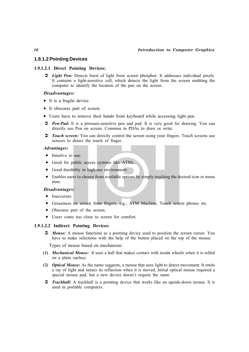#### *16 Introduction to Computer Graphics*

#### **1.9.1.2 Pointing Devices**

#### **1.9.1.2.1 Direct Pointing Devices:**

**2** *Light Pen:* Detects burst of light from screen phosphor. It addresses individual pixels. It contains a light-sensitive cell, which detects the light from the screen enabling the computer to identify the location of the pen on the screen.

#### *Disadvantages:*

- It is a fragile device.
- It obscures part of screen.
- Users have to remove their hands from keyboard while accessing light pen.
- **2 Pen-Pad**: It is a pressure-sensitive pen and pad. It is very good for drawing. You can directly use Pen on screen. Common in PDAs to draw or write.
- $\supset$  *Touch screen:* You can directly control the screen using your fingers. Touch screens use sensors to detect the touch of finger.

#### *Advantages:*

- Intuitive to use.
- Good for public access systems like ATMs.
- Good durability in high-use environment.
- Enables users to choose from available options by simply touching the desired icon or menu item.

#### *Disadvantages:*

- Inaccurate.
- Greasiness on screen from fingers, e.g., ATM Machine, Touch screen phones etc.
- Obscures part of the screen.
- Users come too close to screen for comfort.

#### **1.9.1.2.2 Indirect Pointing Devices:**

 $\supset$  *Mouse:* A mouse functions as a pointing device used to position the screen cursor. You have to make selections with the help of the button placed on the top of the mouse.

Types of mouse based on mechanism:

- *(1) Mechanical Mouse:*It uses a ball that makes contact with inside wheels when it is rolled on a plain surface.
- *(2) Optical Mouse:* As the name suggests, a mouse that uses light to detect movement. It emits a ray of light and senses its reflection when it is moved. Initial optical mouse required a special mouse pad, but a new device doesn't require the same.
- $\supset$  *Trackball:* A trackball is a pointing device that works like an upside-down mouse. It is used in portable computers.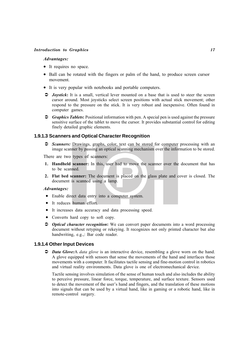#### *Advantages:*

- It requires no space.
- Ball can be rotated with the fingers or palm of the hand, to produce screen cursor movement.
- It is very popular with notebooks and portable computers.
- Â *Joystick***:** It is a small, vertical lever mounted on a base that is used to steer the screen cursor around. Most joysticks select screen positions with actual stick movement; other respond to the pressure on the stick. It is very robust and inexpensive. Often found in computer games.
- $\degree$  *Graphics Tablets*: Positional information with pen. A special pen is used against the pressure sensitive surface of the tablet to move the cursor. It provides substantial control for editing finely detailed graphic elements.

#### **1.9.1.3 Scanners and Optical Character Recognition**

Â *Scanners:* Drawings, graphs, color, text can be stored for computer processing with an image scanner by passing an optical scanning mechanism over the information to be stored.

There are two types of scanners:

- **1. Handheld scanner:** In this, user had to move the scanner over the document that has to be scanned.
- **2. Flat bed scanner:** The document is placed on the glass plate and cover is closed. The document is scanned using a lamp.

#### *Advantages:*

- Enable direct data entry into a computer system.
- It reduces human effort.
- It increases data accuracy and data processing speed.
- Converts hard copy to soft copy.
- $\supset$  *Optical character recognition*: We can convert paper documents into a word processing document without retyping or rekeying. It recognizes not only printed character but also handwriting, e.g.,: Bar code reader.

#### **1.9.1.4 Other Input Devices**

Â *Data Glove:*A *data glove* is an interactive device, resembling a glove worn on the hand. A glove equipped with sensors that sense the movements of the hand and interfaces those movements with a computer. It facilitates tactile sensing and fine-motion control in robotics and virtual reality environments. Data glove is one of electromechanical device.

Tactile sensing involves simulation of the sense of human touch and also includes the ability to perceive pressure, linear force, torque, temperature, and surface texture. Sensors used to detect the movement of the user's hand and fingers, and the translation of these motions into signals that can be used by a virtual hand, like in gaming or a robotic hand, like in remote-control surgery.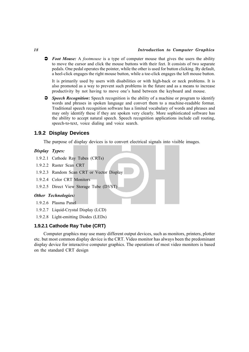#### *18 Introduction to Computer Graphics*

Â *Foot Mouse:* A *footmouse* is a type of computer mouse that gives the users the ability to move the cursor and click the mouse buttons with their feet. It consists of two separate pedals. One pedal operates the pointer, while the other is used for button clicking. By default, a heel-click engages the right mouse button, while a toe-click engages the left mouse button.

It is primarily used by users with disabilities or with high-back or neck problems. It is also promoted as a way to prevent such problems in the future and as a means to increase productivity by not having to move one's hand between the keyboard and mouse.

 $\bullet$  *Speech Recognition*: Speech recognition is the ability of a machine or program to identify words and phrases in spoken language and convert them to a machine-readable format. Traditional speech recognition software has a limited vocabulary of words and phrases and may only identify these if they are spoken very clearly. More sophisticated software has the ability to accept natural speech. Speech recognition applications include call routing, speech-to-text, voice dialing and voice search.

#### **1.9.2 Display Devices**

The purpose of display devices is to convert electrical signals into visible images.

#### *Display Types:*

- 1.9.2.1 Cathode Ray Tubes (CRTs)
- 1.9.2.2 Raster Scan CRT
- 1.9.2.3 Random Scan CRT or Vector Display
- 1.9.2.4 Color CRT Monitors
- 1.9.2.5 Direct View Storage Tube (DVST)

#### *Other Technologies:*

- 1.9.2.6 Plasma Panel
- 1.9.2.7 Liquid-Crystal Display (LCD)
- 1.9.2.8 Light-emitting Diodes (LEDs)

#### **1.9.2.1 Cathode Ray Tube (CRT)**

Computer graphics may use many different output devices, such as monitors, printers, plotter etc. but most common display device is the CRT. Video monitor has always been the predominant display device for interactive computer graphics. The operations of most video monitors is based on the standard CRT design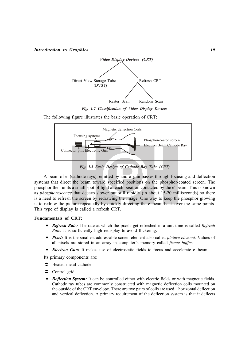

*Fig. 1.2 Classification of Video Display Devices*

The following figure illustrates the basic operation of CRT:



*Fig. 1.3 Basic Design of Cathode Ray Tube (CRT)*

A beam of e- (cathode rays), emitted by and e- gun passes through focusing and deflection systems that direct the beam toward specified positions on the phosphor-coated screen. The phosphor then units a small spot of light at each position contacted by the e-beam. This is known as *phosphorescence* that decays slower but still rapidly (in about 15-20 milliseconds) so there is a need to refresh the screen by redrawing the image. One way to keep the phosphor glowing is to redraw the picture repeatedly by quickly directing the e-beam back over the same points. This type of display is called a refresh CRT.

#### **Fundamentals of CRT:**

- *Refresh Rate:* The rate at which the pixels get refreshed in a unit time is called *Refresh Rate.* It is sufficiently high redisplay to avoid flickering.
- *Pixel:* It is the smallest addressable screen element also called *picture element.* Values of all pixels are stored in an array in computer's memory called *frame buffer.*
- *Electron Gun:* It makes use of electrostatic fields to focus and accelerate e beam.

Its primary components are:

- $\bullet$  Heated metal cathode
- $\bullet$  Control grid
- *Deflection System:* It can be controlled either with electric fields or with magnetic fields. Cathode ray tubes are commonly constructed with magnetic deflection coils mounted on the outside of the CRT envelope. There are two pairs of coils are used – horizontal deflection and vertical deflection. A primary requirement of the deflection system is that it deflects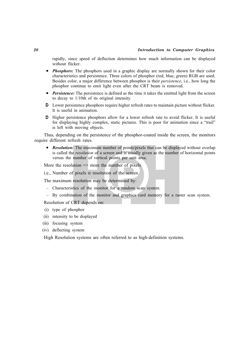#### *20 Introduction to Computer Graphics*

rapidly, since speed of deflection determines how much information can be displayed without flicker.

- *Phosphors:* The phosphors used in a graphic display are normally shown for their color characteristics and persistence. Three colors of phosphor (red, blue, green) RGB are used. Besides color, a major difference between phosphor is their *persistence,* i.e., how long the phosphor continue to emit light even after the CRT beam is removed.
- *Persistence:* The persistence is defined as the time it takes the emitted light from the screen to decay to 1/10th of its original intensity.
- $\bullet$  Lower persistence phosphors require higher refresh rates to maintain picture without flicker. It is useful in animation.
- $\supset$  Higher persistence phosphors allow for a lower refresh rate to avoid flicker. It is useful for displaying highly complex, static pictures. This is poor for animation since a "trail" is left with moving objects.

Thus, depending on the persistence of the phosphor-coated inside the screen, the monitors require different refresh rates.

• *Resolution:* The maximum number of points/pixels that can be displayed without overlap is called the *resolution* of a screen and is usually given as the number of horizontal points versus the number of vertical points per unit area.

More the resolution  $\Rightarrow$  more the number of pixels

i.e., Number of pixels  $\alpha$  resolution of the screen.

The maximum resolution may be determined by:

- Characteristics of the monitor for a random scan system.
- By combination of the monitor and graphics card memory for a raster scan system.

Resolution of CRT depends on:

- (i) type of phosphor
- (ii) intensity to be displayed
- (iii) focusing system
- (iv) deflecting system

High Resolution systems are often referred to as high-definition systems.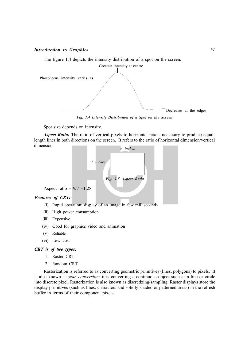The figure 1.4 depicts the intensity distribution of a spot on the screen.



*Fig. 1.4 Intensity Distribution of a Spot on the Screen*

Spot size depends on intensity.

*Aspect Ratio:* The ratio of vertical pixels to horizontal pixels necessary to produce equallength lines in both directions on the screen. It refers to the ratio of horizontal dimension/vertical dimension.



Aspect ratio =  $9/7$  =1.28

#### *Features of CRT:-*

- (i) Rapid operation: display of an image in few milliseconds
- (ii) High power consumption
- (iii) Expensive
- (iv) Good for graphics video and animation
- (v) Reliable
- (vi) Low cost

#### *CRT is of two types:*

- 1. Raster CRT
- 2. Random CRT

Rasterization is referred to as converting geometric primitives (lines, polygons) to pixels. It is also known as *scan conversion;* it is converting a continuous object such as a line or circle into discrete pixel. Rasterization is also known as discretizing/sampling. Raster displays store the display primitives (such as lines, characters and solidly shaded or patterned areas) in the refresh buffer in terms of their component pixels.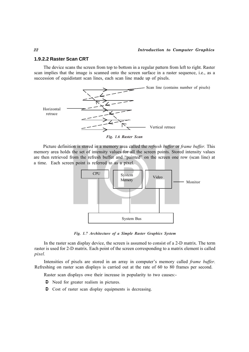#### **1.9.2.2 Raster Scan CRT**

The device scans the screen from top to bottom in a regular pattern from left to right. Raster scan implies that the image is scanned onto the screen surface in a raster sequence, i.e., as a succession of equidistant scan lines, each scan line made up of pixels.





Picture definition is stored in a memory area called the *refresh buffer* or *frame buffer.* This memory area holds the set of intensity values for all the screen points. Stored intensity values are then retrieved from the refresh buffer and "painted" on the screen one row (scan line) at a time. Each screen point is referred to as a pixel.



*Fig. 1.7 Architecture of a Simple Raster Graphics System*

In the raster scan display device, the screen is assumed to consist of a 2-D matrix. The term raster is used for 2-D matrix. Each point of the screen corresponding to a matrix element is called *pixel.*

Intensities of pixels are stored in an array in computer's memory called *frame buffer.* Refreshing on raster scan displays is carried out at the rate of 60 to 80 frames per second.

Raster scan displays owe their increase in popularity to two causes:-

- $\supset$  Need for greater realism in pictures.
- $\bullet$  Cost of raster scan display equipments is decreasing.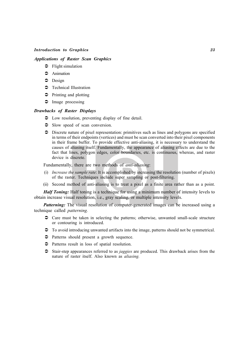#### *Applications of Raster Scan Graphics*

- $\supset$  Flight simulation
- $\bullet$  Animation
- $\bullet$  Design
- **•** Technical Illustration
- $\supset$  Printing and plotting
- $\supset$  Image processing

#### *Drawbacks of Raster Displays*

- $\supset$  Low resolution, preventing display of fine detail.
- $\supset$  Slow speed of scan conversion.
- $\supset$  Discrete nature of pixel representation: primitives such as lines and polygons are specified in terms of their endpoints (vertices) and must be scan converted into their pixel components in their frame buffer. To provide effective anti-aliasing, it is necessary to understand the causes of aliasing itself. Fundamentally, the appearance of aliasing effects are due to the fact that lines, polygon edges, color boundaries, etc. is continuous, whereas, and raster device is discrete.

Fundamentally, there are two methods of *anti-aliasing*:

- (i) *Increase the sample rate*: It is accomplished by increasing the resolution (number of pixels) of the raster. Techniques include super sampling or post-filtering.
- (ii) Second method of anti-aliasing is to treat a pixel as a finite area rather than as a point.

*Half Toning:* Half toning is a technique for using a minimum number of intensity levels to obtain increase visual resolution, i.e., gray scaling, or multiple intensity levels.

*Patterning:* The visual resolution of computer-generated images can be increased using a technique called *patterning.*

- $\heartsuit$  Care must be taken in selecting the patterns; otherwise, unwanted small-scale structure or contouring is introduced.
- $\supset$  To avoid introducing unwanted artifacts into the image, patterns should not be symmetrical.
- $\bullet$  Patterns should present a growth sequence.
- $\supset$  Patterns result in loss of spatial resolution.
- Â Stair-step appearances referred to as *jaggies* are produced. This drawback arises from the nature of raster itself. Also known as *aliasing.*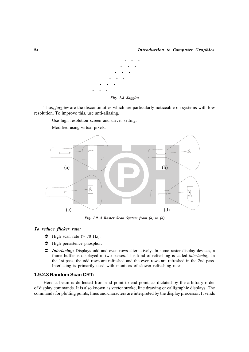

Thus, *jaggies* are the discontinuities which are particularly noticeable on systems with low resolution. To improve this, use anti-aliasing.

- Use high resolution screen and driver setting.
- Modified using virtual pixels.



*Fig. 1.9 A Raster Scan System from (a) to (d)*

#### *To reduce flicker rate:*

- $\triangle$  High scan rate ( $> 70$  Hz).
- $\supset$  High persistence phosphor.
- Â *Interlacing***:** Displays odd and even rows alternatively. In some raster display devices, a frame buffer is displayed in two passes. This kind of refreshing is called *interlacing*. In the 1st pass, the odd rows are refreshed and the even rows are refreshed in the 2nd pass. Interlacing is primarily used with monitors of slower refreshing rates.

#### **1.9.2.3 Random Scan CRT:**

Here, a beam is deflected from end point to end point, as dictated by the arbitrary order of display commands. It is also known as vector stroke, line drawing or calligraphic displays. The commands for plotting points, lines and characters are interpreted by the display processor. It sends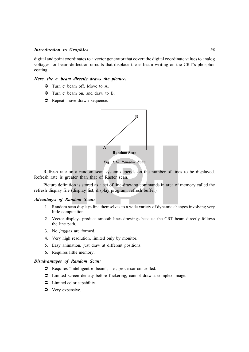digital and point coordinates to a vector generator that covert the digital coordinate values to analog voltages for beam-deflection circuits that displace the e beam writing on the CRT's phosphor coating.

#### *Here, the e- beam directly draws the picture.*

- $\supset$  Turn e beam off. Move to A.
- $\supset$  Turn e beam on, and draw to B.
- $\supset$  Repeat move-drawn sequence.



Refresh rate on a random scan system depends on the number of lines to be displayed. Refresh rate is greater than that of Raster scan.

Picture definition is stored as a set of line-drawing commands in area of memory called the refresh display file (display list, display program, refresh buffer).

#### *Advantages of Random Scan:*

- 1. Random scan displays line themselves to a wide variety of dynamic changes involving very little computation.
- 2. Vector displays produce smooth lines drawings because the CRT beam directly follows the line path.
- 3. No *jaggies* are formed.
- 4. Very high resolution, limited only by monitor.
- 5. Easy animation, just draw at different positions.
- 6. Requires little memory.

#### *Disadvantages of Random Scan:*

- Requires "intelligent e-beam", i.e., processor-controlled.
- $\supset$  Limited screen density before flickering, cannot draw a complex image.
- $\bullet$  Limited color capability.
- Very expensive.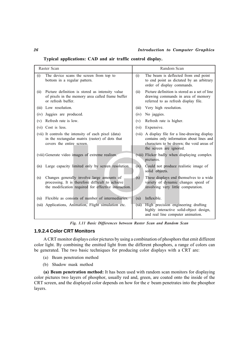**Typical applications: CAD and air traffic control display.**

| Raster Scan                                                                                                                                                   | Random Scan                                                                                                                                                             |  |
|---------------------------------------------------------------------------------------------------------------------------------------------------------------|-------------------------------------------------------------------------------------------------------------------------------------------------------------------------|--|
| The device scans the screen from top to<br>(i)<br>bottom in a regular pattern.                                                                                | The beam is deflected from end point<br>(i)<br>to end point as dictated by an arbitrary<br>order of display commands.                                                   |  |
| Picture definition is stored as intensity value<br>(ii)<br>of pixels in the memory area called frame buffer<br>or refresh buffer.                             | Picture definition is stored as a set of line<br>(ii)<br>drawing commands in area of memory<br>referred to as refresh display file.                                     |  |
| (iii) Low resolution.                                                                                                                                         | Very high resolution.<br>(iii)                                                                                                                                          |  |
| Jaggies are produced.<br>(iv)                                                                                                                                 | No jaggies.<br>(iv)                                                                                                                                                     |  |
| Refresh rate is low.<br>(v)                                                                                                                                   | Refresh rate is higher.<br>(v)                                                                                                                                          |  |
| Cost is less.<br>(vi)                                                                                                                                         | Expensive.<br>(vi)                                                                                                                                                      |  |
| (vii) It controls the intensity of each pixel (data)<br>in the rectangular matrix (raster) of dots that<br>covers the entire screen.                          | A display file for a line-drawing display<br>(vii)<br>contains only information about lines and<br>characters to be drawn; the void areas of<br>the screen are ignored. |  |
| (viii) Generate video images of extreme realism.                                                                                                              | (viii) Flicker badly when displaying complex<br>pictures.                                                                                                               |  |
| Large capacity limited only by screen resolution.<br>(ix)                                                                                                     | $\overline{(\text{ix})}$<br>Could not produce realistic image of<br>solid objects.                                                                                      |  |
| Changes generally involve large amounts of<br>(x)<br>processing. It is therefore difficult to achieve<br>the modification required for effective interaction. | These displays end themselves to a wide<br>(x)<br>variety of dynamic changes speed of<br>involving very little computation.                                             |  |
| Flexible as consists of number of intermediaries.<br>(xi)                                                                                                     | Inflexible.<br>(xi)                                                                                                                                                     |  |
| (xii) Applications, Animation, Flight simulation etc.                                                                                                         | High precision engineering drafting<br>(xii)<br>highly interactive solid-object design,<br>and real line computer animation.                                            |  |

 *Fig. 1.11 Basic Differences between Raster Scan and Random Scan*

#### **1.9.2.4 Color CRT Monitors**

A CRT monitor displays color pictures by using a combination of phosphors that emit different color light. By combining the emitted light from the different phosphors, a range of colors can be generated. The two basic techniques for producing color displays with a CRT are:

- (a) Beam penetration method
- (b) Shadow mask method

**(a) Beam penetration method:** It has been used with random scan monitors for displaying color pictures two layers of phosphor, usually red and, green, are coated onto the inside of the CRT screen, and the displayed color depends on how for the e- beam penetrates into the phosphor layers.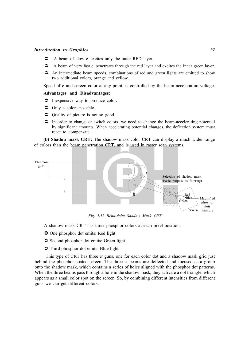- A beam of slow e excites only the outer RED layer.
- $\bullet$  A beam of very fast e-penetrates through the red layer and excites the inner green layer.
- $\supset$  An intermediate beam speeds, combinations of red and green lights are emitted to show two additional colors, orange and yellow.

Speed of e and screen color at any point, is controlled by the beam acceleration voltage.

#### **Advantages and Disadvantages:**

- $\supset$  Inexpensive way to produce color.
- $\bullet$  Only 4 colors possible.
- Quality of picture is not so good.
- $\supset$  In order to change or switch colors, we need to change the beam-accelerating potential by significant amounts. When accelerating potential changes, the deflection system must react to compensate.

**(b) Shadow mask CRT:** The shadow mask color CRT can display a much wider range of colors than the beam penetration CRT, and is used in raster scan systems.



*Fig. 1.12 Delta-delta Shadow Mask CRT*

- A shadow mask CRT has three phosphor colors at each pixel position:
- $\supset$  One phosphor dot emits: Red light
- $\supset$  Second phosphor dot emits: Green light
- $\supset$  Third phosphor dot emits: Blue light

This type of CRT has three e guns, one for each color dot and a shadow mask grid just behind the phosphor-coated screen. The three e beams are deflected and focused as a group onto the shadow mask, which contains a series of holes aligned with the phosphor dot patterns. When the three beams pass through a hole in the shadow mask, they activate a dot triangle, which appears as a small color spot on the screen. So, by combining different intensities from different guns we can get different colors.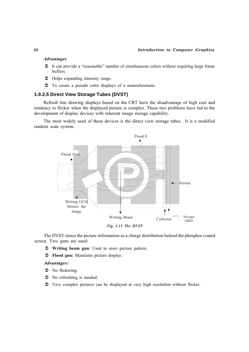#### *Advantages*

- $\bullet$  It can provide a "reasonable" number of simultaneous colors without requiring large frame buffers.
- $\supset$  Helps expanding intensity range.
- $\supset$  To create a pseudo color displays of a monochromatic.

#### **1.9.2.5 Direct View Storage Tubes (DVST)**

Refresh line drawing displays based on the CRT have the disadvantage of high cost and tendency to flicker when the displayed picture is complex. These two problems have led to the development of display devices with inherent image storage capability.

The most widely used of these devices is the direct view storage tubes. It is a modified random scan system.



The DVST stores the picture information as a charge distribution behind the phosphor coated screen. Two guns are used:

Â **Writing beam gun:** Used to store picture pattern.

Â **Flood gun:** Maintains picture display.

#### *Advantages:*

- $\bullet$  No flickering.
- $\bullet$  No refreshing is needed.
- $\bullet$  Very complex pictures can be displayed at very high resolution without flicker.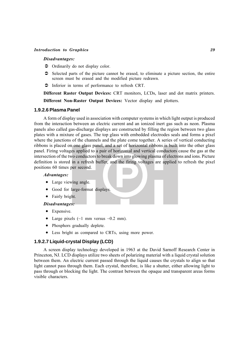#### *Disadvantages:*

- $\bullet$  Ordinarily do not display color.
- $\supset$  Selected parts of the picture cannot be erased, to eliminate a picture section, the entire screen must be erased and the modified picture redrawn.
- $\bullet$  Inferior in terms of performance to refresh CRT.

**Different Raster Output Devices:** CRT monitors, LCDs, laser and dot matrix printers. **Different Non-Raster Output Devices:** Vector display and plotters.

#### **1.9.2.6 Plasma Panel**

A form of display used in association with computer systems in which light output is produced from the interaction between an electric current and an ionized inert gas such as neon. Plasma panels also called gas-discharge displays are constructed by filling the region between two glass plates with a mixture of gases. The top glass with embedded electrodes seals and forms a pixel where the junctions of the channels and the plate come together. A series of vertical conducting ribbons is placed on one glass panel, and a set of horizontal ribbons is built into the other glass panel. Firing voltages applied to a pair of horizontal and vertical conductors cause the gas at the intersection of the two conductors to break down into glowing plasma of electrons and ions. Picture definition is stored in a refresh buffer, and the firing voltages are applied to refresh the pixel positions 60 times per second.

#### *Advantages:*

- Large viewing angle.
- Good for large-format displays.
- Fairly bright.

#### *Disadvantages:*

- Expensive.
- Large pixels  $(\sim)$  mm versus  $\sim$  0.2 mm).
- Phosphors gradually deplete.
- Less bright as compared to CRTs, using more power.

#### **1.9.2.7 Liquid-crystal Display (LCD)**

A screen display technology developed in 1963 at the David Sarnoff Research Center in Princeton, NJ. LCD displays utilize two sheets of polarizing material with a liquid crystal solution between them. An electric current passed through the liquid causes the crystals to align so that light cannot pass through them. Each crystal, therefore, is like a shutter, either allowing light to pass through or blocking the light. The contrast between the opaque and transparent areas forms visible characters.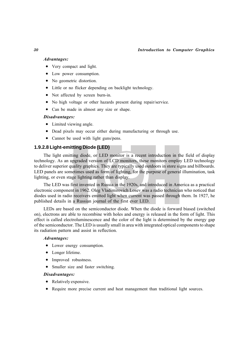#### *Advantages:*

- Very compact and light.
- Low power consumption.
- No geometric distortion.
- Little or no flicker depending on backlight technology.
- Not affected by screen burn-in.
- No high voltage or other hazards present during repair/service.
- Can be made in almost any size or shape.

#### *Disadvantages:*

- Limited viewing angle.
- Dead pixels may occur either during manufacturing or through use.
- Cannot be used with light guns/pens.

#### **1.9.2.8 Light-emitting Diode (LED)**

The light emitting diode, or LED monitor is a recent introduction in the field of display technology. As an upgraded version of LCD monitors, these monitors employ LED technology to deliver superior quality graphics. They are typically used outdoors in store signs and billboards. LED panels are sometimes used as form of lighting, for the purpose of general illumination, task lighting, or even stage lighting rather than display.

The LED was first invented in Russia in the 1920s, and introduced in America as a practical electronic component in 1962. Oleg Vladimirovich Losev was a radio technician who noticed that diodes used in radio receivers emitted light when current was passed through them. In 1927, he published details in a Russian journal of the first ever LED.

LEDs are based on the semiconductor diode. When the diode is forward biased (switched on), electrons are able to recombine with holes and energy is released in the form of light. This effect is called electroluminescence and the color of the light is determined by the energy gap of the semiconductor. The LED is usually small in area with integrated optical components to shape its radiation pattern and assist in reflection.

#### *Advantages:*

- Lower energy consumption.
- Longer lifetime.
- Improved robustness.
- Smaller size and faster switching.

#### *Disadvantages:*

- Relatively expensive.
- Require more precise current and heat management than traditional light sources.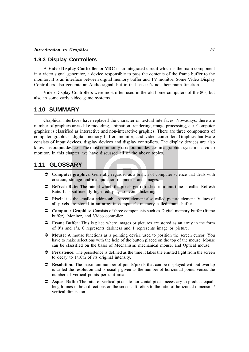#### **1.9.3 Display Controllers**

A **Video Display Controller** or **VDC** is an integrated circuit which is the main component in a video signal generator, a device responsible to pass the contents of the frame buffer to the monitor. It is an interface between digital memory buffer and TV monitor. Some Video Display Controllers also generate an Audio signal, but in that case it's not their main function.

Video Display Controllers were most often used in the old home-computers of the 80s, but also in some early video game systems.

#### **1.10 SUMMARY**

Graphical interfaces have replaced the character or textual interfaces. Nowadays, there are number of graphics areas like modeling, animation, rendering, image processing, etc. Computer graphics is classified as interactive and non-interactive graphics. There are three components of computer graphics: digital memory buffer, monitor, and video controller. Graphics hardware consists of input devices, display devices and display controllers. The display devices are also known as output devices. The most commonly used output devices in a graphics system is a video monitor. In this chapter, we have discussed all of the above topics.

#### **1.11 GLOSSARY**

- Â **Computer graphics:** Generally regarded as a branch of computer science that deals with creation, storage and manipulation of models and images.
- Â **Refresh Rate:** The rate at which the pixels get refreshed in a unit time is called Refresh Rate. It is sufficiently high redisplay to avoid flickering.
- Â **Pixel:** It is the smallest addressable screen element also called picture element. Values of all pixels are stored in an array in computer's memory called frame buffer.
- $\degree$  **Computer Graphics:** Consists of three components such as Digital memory buffer (frame buffer), Monitor, and Video controller.
- Â **Frame Buffer:** This is place where images or pictures are stored as an array in the form of 0's and 1's, 0 represents darkness and 1 represents image or picture.
- Â **Mouse:** A mouse functions as a pointing device used to position the screen cursor. You have to make selections with the help of the button placed on the top of the mouse. Mouse can be classified on the basis of Mechanism: mechanical mouse, and Optical mouse.
- **•** Persistence: The persistence is defined as the time it takes the emitted light from the screen to decay to 1/10th of its original intensity.
- Â **Resolution:** The maximum number of points/pixels that can be displayed without overlap is called the resolution and is usually given as the number of horizontal points versus the number of vertical points per unit area.
- $\supset$  **Aspect Ratio:** The ratio of vertical pixels to horizontal pixels necessary to produce equallength lines in both directions on the screen. It refers to the ratio of horizontal dimension/ vertical dimension.